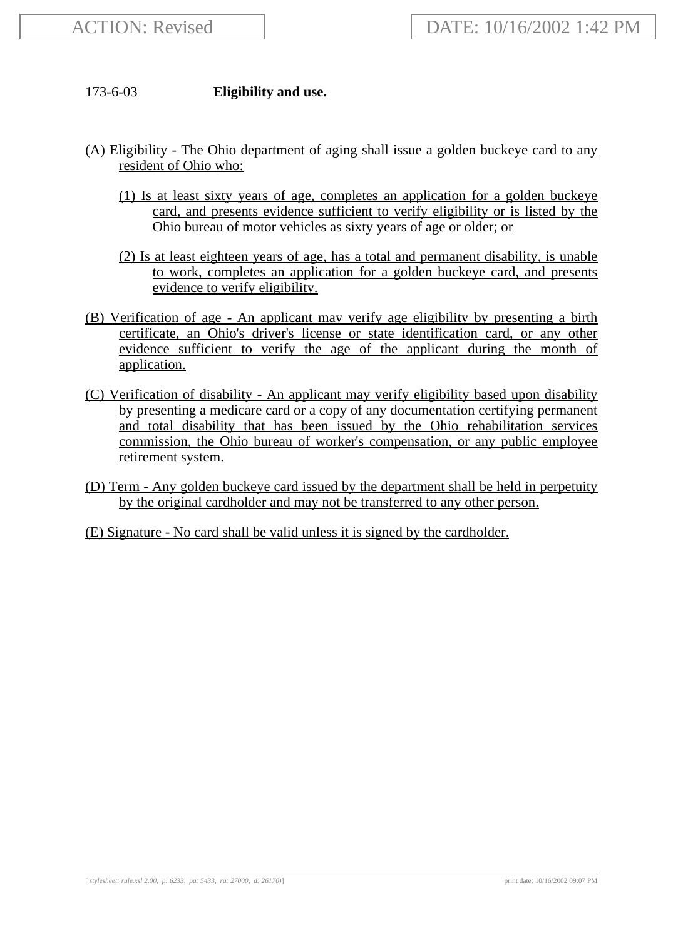## 173-6-03 **Eligibility and use.**

- (A) Eligibility The Ohio department of aging shall issue a golden buckeye card to any resident of Ohio who:
	- (1) Is at least sixty years of age, completes an application for a golden buckeye card, and presents evidence sufficient to verify eligibility or is listed by the Ohio bureau of motor vehicles as sixty years of age or older; or
	- (2) Is at least eighteen years of age, has a total and permanent disability, is unable to work, completes an application for a golden buckeye card, and presents evidence to verify eligibility.
- (B) Verification of age An applicant may verify age eligibility by presenting a birth certificate, an Ohio's driver's license or state identification card, or any other evidence sufficient to verify the age of the applicant during the month of application.
- (C) Verification of disability An applicant may verify eligibility based upon disability by presenting a medicare card or a copy of any documentation certifying permanent and total disability that has been issued by the Ohio rehabilitation services commission, the Ohio bureau of worker's compensation, or any public employee retirement system.
- (D) Term Any golden buckeye card issued by the department shall be held in perpetuity by the original cardholder and may not be transferred to any other person.
- (E) Signature No card shall be valid unless it is signed by the cardholder.